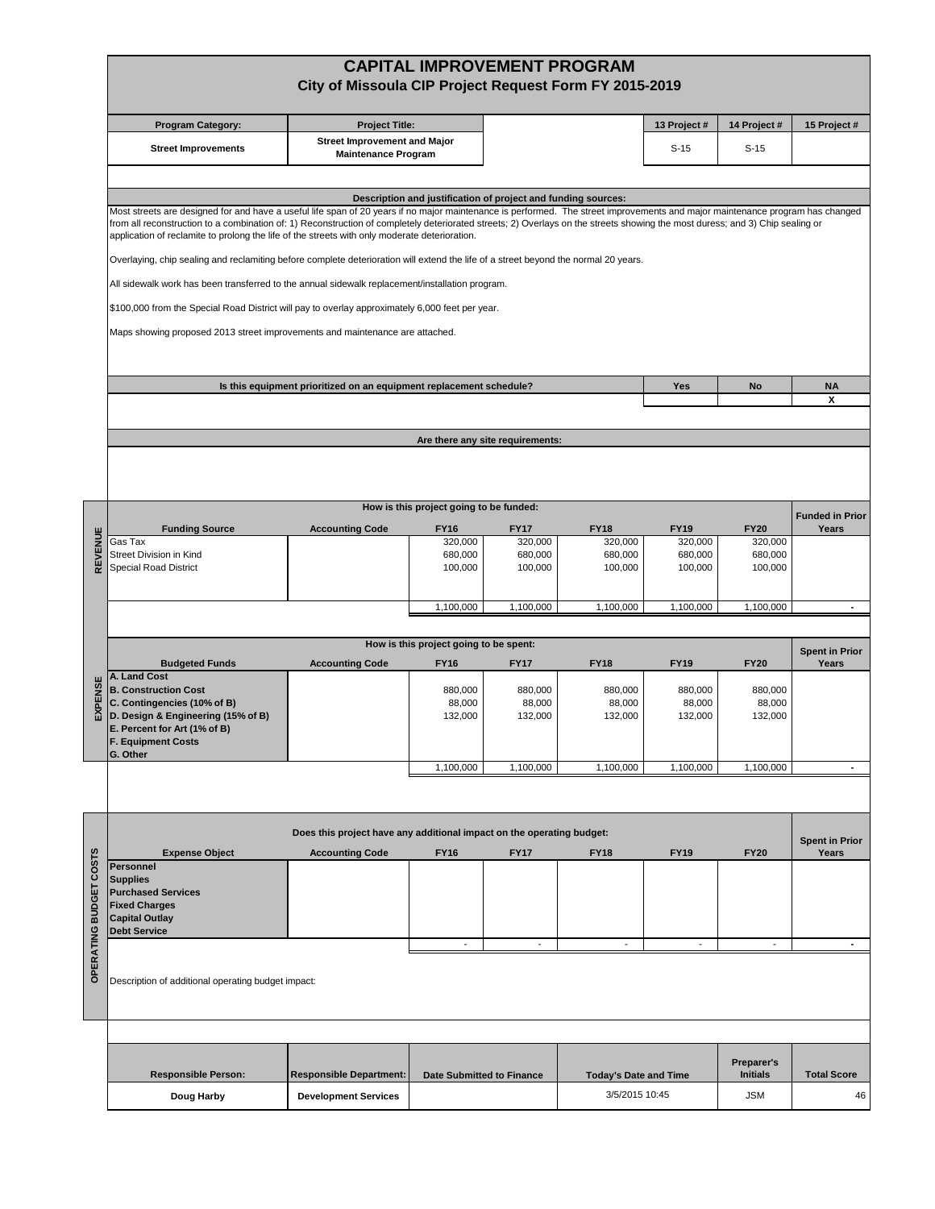|                  | <b>CAPITAL IMPROVEMENT PROGRAM</b><br>City of Missoula CIP Project Request Form FY 2015-2019                                                                                                                                                                                                                                                                                                                                                                                                                                     |                                                                     |                                         |                                  |                              |                          |                                                    |                                |  |  |  |  |  |  |  |  |  |
|------------------|----------------------------------------------------------------------------------------------------------------------------------------------------------------------------------------------------------------------------------------------------------------------------------------------------------------------------------------------------------------------------------------------------------------------------------------------------------------------------------------------------------------------------------|---------------------------------------------------------------------|-----------------------------------------|----------------------------------|------------------------------|--------------------------|----------------------------------------------------|--------------------------------|--|--|--|--|--|--|--|--|--|
|                  | Program Category:                                                                                                                                                                                                                                                                                                                                                                                                                                                                                                                | <b>Project Title:</b>                                               |                                         |                                  |                              | 13 Project #             | 14 Project #                                       | 15 Project #                   |  |  |  |  |  |  |  |  |  |
|                  | <b>Street Improvements</b>                                                                                                                                                                                                                                                                                                                                                                                                                                                                                                       | <b>Street Improvement and Major</b><br><b>Maintenance Program</b>   |                                         |                                  |                              | $S-15$                   | $S-15$                                             |                                |  |  |  |  |  |  |  |  |  |
|                  |                                                                                                                                                                                                                                                                                                                                                                                                                                                                                                                                  |                                                                     |                                         |                                  |                              |                          |                                                    |                                |  |  |  |  |  |  |  |  |  |
|                  | Description and justification of project and funding sources:<br>Most streets are designed for and have a useful life span of 20 years if no major maintenance is performed. The street improvements and major maintenance program has changed<br>from all reconstruction to a combination of: 1) Reconstruction of completely deteriorated streets; 2) Overlays on the streets showing the most duress; and 3) Chip sealing or<br>application of reclamite to prolong the life of the streets with only moderate deterioration. |                                                                     |                                         |                                  |                              |                          |                                                    |                                |  |  |  |  |  |  |  |  |  |
|                  |                                                                                                                                                                                                                                                                                                                                                                                                                                                                                                                                  |                                                                     |                                         |                                  |                              |                          |                                                    |                                |  |  |  |  |  |  |  |  |  |
|                  | Overlaying, chip sealing and reclamiting before complete deterioration will extend the life of a street beyond the normal 20 years.<br>All sidewalk work has been transferred to the annual sidewalk replacement/installation program.<br>\$100,000 from the Special Road District will pay to overlay approximately 6,000 feet per year.                                                                                                                                                                                        |                                                                     |                                         |                                  |                              |                          |                                                    |                                |  |  |  |  |  |  |  |  |  |
|                  |                                                                                                                                                                                                                                                                                                                                                                                                                                                                                                                                  |                                                                     |                                         |                                  |                              |                          |                                                    |                                |  |  |  |  |  |  |  |  |  |
|                  |                                                                                                                                                                                                                                                                                                                                                                                                                                                                                                                                  |                                                                     |                                         |                                  |                              |                          |                                                    |                                |  |  |  |  |  |  |  |  |  |
|                  |                                                                                                                                                                                                                                                                                                                                                                                                                                                                                                                                  |                                                                     |                                         |                                  |                              |                          |                                                    |                                |  |  |  |  |  |  |  |  |  |
|                  | Maps showing proposed 2013 street improvements and maintenance are attached.                                                                                                                                                                                                                                                                                                                                                                                                                                                     |                                                                     |                                         |                                  |                              |                          |                                                    |                                |  |  |  |  |  |  |  |  |  |
|                  |                                                                                                                                                                                                                                                                                                                                                                                                                                                                                                                                  | Is this equipment prioritized on an equipment replacement schedule? |                                         |                                  |                              | <b>Yes</b>               | No                                                 | <b>NA</b>                      |  |  |  |  |  |  |  |  |  |
|                  |                                                                                                                                                                                                                                                                                                                                                                                                                                                                                                                                  |                                                                     |                                         |                                  |                              |                          |                                                    | x                              |  |  |  |  |  |  |  |  |  |
|                  |                                                                                                                                                                                                                                                                                                                                                                                                                                                                                                                                  |                                                                     |                                         | Are there any site requirements: |                              |                          |                                                    |                                |  |  |  |  |  |  |  |  |  |
|                  |                                                                                                                                                                                                                                                                                                                                                                                                                                                                                                                                  |                                                                     |                                         |                                  |                              |                          |                                                    |                                |  |  |  |  |  |  |  |  |  |
|                  |                                                                                                                                                                                                                                                                                                                                                                                                                                                                                                                                  |                                                                     | How is this project going to be funded: |                                  |                              |                          |                                                    | <b>Funded in Prior</b>         |  |  |  |  |  |  |  |  |  |
|                  | <b>Funding Source</b>                                                                                                                                                                                                                                                                                                                                                                                                                                                                                                            | <b>Accounting Code</b>                                              | <b>FY16</b>                             | <b>FY17</b>                      | <b>FY18</b>                  | <b>FY19</b>              | <b>FY20</b>                                        | Years                          |  |  |  |  |  |  |  |  |  |
| REVENUE          | Gas Tax<br>Street Division in Kind                                                                                                                                                                                                                                                                                                                                                                                                                                                                                               |                                                                     | 320,000<br>680,000                      | 320,000<br>680,000               | 320,000<br>680,000           | 320,000<br>680,000       | 320,000<br>680,000                                 |                                |  |  |  |  |  |  |  |  |  |
|                  | <b>Special Road District</b>                                                                                                                                                                                                                                                                                                                                                                                                                                                                                                     |                                                                     | 100,000                                 | 100,000                          | 100,000                      | 100,000                  | 100,000                                            |                                |  |  |  |  |  |  |  |  |  |
|                  |                                                                                                                                                                                                                                                                                                                                                                                                                                                                                                                                  |                                                                     |                                         |                                  |                              |                          |                                                    |                                |  |  |  |  |  |  |  |  |  |
|                  |                                                                                                                                                                                                                                                                                                                                                                                                                                                                                                                                  |                                                                     | 1,100,000                               | 1,100,000                        | 1,100,000                    | 1,100,000                | 1,100,000                                          | $\sim$                         |  |  |  |  |  |  |  |  |  |
|                  | How is this project going to be spent:                                                                                                                                                                                                                                                                                                                                                                                                                                                                                           |                                                                     |                                         |                                  |                              |                          |                                                    |                                |  |  |  |  |  |  |  |  |  |
|                  | <b>Budgeted Funds</b>                                                                                                                                                                                                                                                                                                                                                                                                                                                                                                            | <b>Accounting Code</b>                                              | <b>FY16</b>                             | <b>FY17</b>                      | <b>FY18</b>                  | <b>FY19</b>              | <b>FY20</b>                                        | <b>Spent in Prior</b><br>Years |  |  |  |  |  |  |  |  |  |
|                  | A. Land Cost<br><b>B. Construction Cost</b>                                                                                                                                                                                                                                                                                                                                                                                                                                                                                      |                                                                     | 880,000                                 | 880,000                          | 880,000                      | 880.000                  | 880.000                                            |                                |  |  |  |  |  |  |  |  |  |
| EXPENSE          | C. Contingencies (10% of B)                                                                                                                                                                                                                                                                                                                                                                                                                                                                                                      |                                                                     | 88,000                                  | 88,000                           | 88,000                       | 88,000                   | 88,000                                             |                                |  |  |  |  |  |  |  |  |  |
|                  | D. Design & Engineering (15% of B)<br>E. Percent for Art (1% of B)                                                                                                                                                                                                                                                                                                                                                                                                                                                               |                                                                     | 132,000                                 | 132,000                          | 132,000                      | 132,000                  | 132,000                                            |                                |  |  |  |  |  |  |  |  |  |
|                  | <b>F. Equipment Costs</b>                                                                                                                                                                                                                                                                                                                                                                                                                                                                                                        |                                                                     |                                         |                                  |                              |                          |                                                    |                                |  |  |  |  |  |  |  |  |  |
|                  | G. Other                                                                                                                                                                                                                                                                                                                                                                                                                                                                                                                         |                                                                     | 1,100,000                               | 1,100,000                        | 1,100,000                    | 1,100,000                | 1,100,000                                          | $\blacksquare$                 |  |  |  |  |  |  |  |  |  |
|                  |                                                                                                                                                                                                                                                                                                                                                                                                                                                                                                                                  |                                                                     |                                         |                                  |                              |                          |                                                    |                                |  |  |  |  |  |  |  |  |  |
|                  | Does this project have any additional impact on the operating budget:                                                                                                                                                                                                                                                                                                                                                                                                                                                            |                                                                     |                                         |                                  |                              |                          |                                                    |                                |  |  |  |  |  |  |  |  |  |
| <b>COSTS</b>     | <b>Expense Object</b><br><b>Personnel</b>                                                                                                                                                                                                                                                                                                                                                                                                                                                                                        | <b>Accounting Code</b>                                              | <b>FY16</b>                             | <b>FY17</b>                      | <b>FY18</b>                  | <b>FY19</b>              | <b>FY20</b>                                        | Years                          |  |  |  |  |  |  |  |  |  |
|                  | <b>Supplies</b>                                                                                                                                                                                                                                                                                                                                                                                                                                                                                                                  |                                                                     |                                         |                                  |                              |                          |                                                    |                                |  |  |  |  |  |  |  |  |  |
|                  | <b>Purchased Services</b><br><b>Fixed Charges</b>                                                                                                                                                                                                                                                                                                                                                                                                                                                                                |                                                                     |                                         |                                  |                              |                          |                                                    |                                |  |  |  |  |  |  |  |  |  |
|                  | <b>Capital Outlay</b>                                                                                                                                                                                                                                                                                                                                                                                                                                                                                                            |                                                                     |                                         |                                  |                              |                          |                                                    |                                |  |  |  |  |  |  |  |  |  |
|                  | <b>Debt Service</b>                                                                                                                                                                                                                                                                                                                                                                                                                                                                                                              |                                                                     | $\overline{\phantom{a}}$                | $\overline{\phantom{a}}$         | $\overline{\phantom{a}}$     | $\overline{\phantom{a}}$ | $\overline{\phantom{a}}$                           | $\sim$                         |  |  |  |  |  |  |  |  |  |
|                  |                                                                                                                                                                                                                                                                                                                                                                                                                                                                                                                                  |                                                                     |                                         |                                  |                              |                          | Description of additional operating budget impact: |                                |  |  |  |  |  |  |  |  |  |
| OPERATING BUDGET |                                                                                                                                                                                                                                                                                                                                                                                                                                                                                                                                  |                                                                     |                                         |                                  |                              |                          |                                                    |                                |  |  |  |  |  |  |  |  |  |
|                  |                                                                                                                                                                                                                                                                                                                                                                                                                                                                                                                                  |                                                                     |                                         |                                  |                              |                          |                                                    |                                |  |  |  |  |  |  |  |  |  |
|                  | <b>Responsible Person:</b>                                                                                                                                                                                                                                                                                                                                                                                                                                                                                                       | <b>Responsible Department:</b>                                      | <b>Date Submitted to Finance</b>        |                                  | <b>Today's Date and Time</b> |                          | Preparer's<br><b>Initials</b>                      | <b>Total Score</b>             |  |  |  |  |  |  |  |  |  |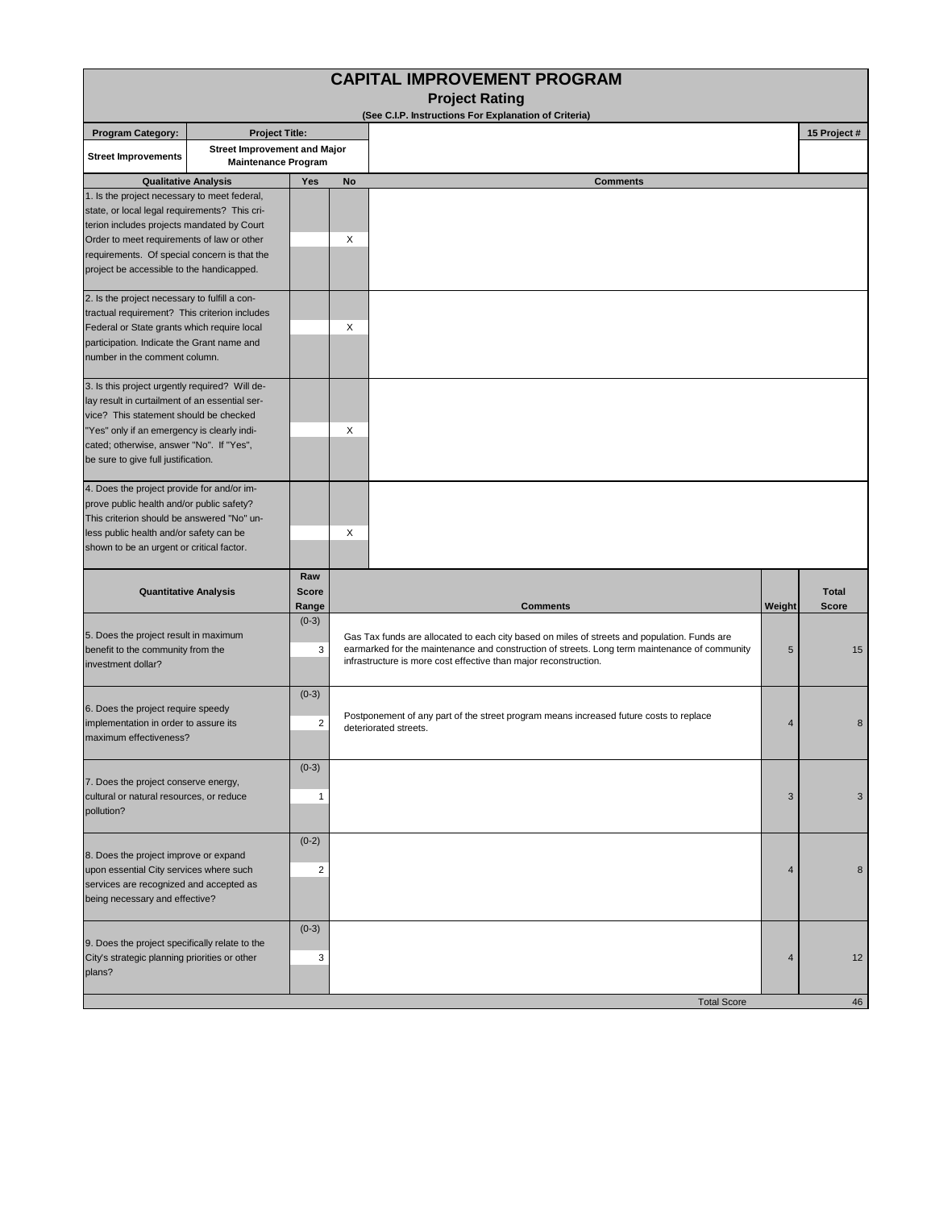| <b>CAPITAL IMPROVEMENT PROGRAM</b><br><b>Project Rating</b>                                                                                                                                                                                                                            |                                                                   |                              |                                                                                                                                                                                                                                                                   |                    |        |                       |  |  |  |  |  |  |  |
|----------------------------------------------------------------------------------------------------------------------------------------------------------------------------------------------------------------------------------------------------------------------------------------|-------------------------------------------------------------------|------------------------------|-------------------------------------------------------------------------------------------------------------------------------------------------------------------------------------------------------------------------------------------------------------------|--------------------|--------|-----------------------|--|--|--|--|--|--|--|
| (See C.I.P. Instructions For Explanation of Criteria)                                                                                                                                                                                                                                  |                                                                   |                              |                                                                                                                                                                                                                                                                   |                    |        |                       |  |  |  |  |  |  |  |
| <b>Program Category:</b>                                                                                                                                                                                                                                                               | <b>Project Title:</b>                                             |                              |                                                                                                                                                                                                                                                                   |                    |        | 15 Project #          |  |  |  |  |  |  |  |
| <b>Street Improvements</b>                                                                                                                                                                                                                                                             | <b>Street Improvement and Major</b><br><b>Maintenance Program</b> |                              |                                                                                                                                                                                                                                                                   |                    |        |                       |  |  |  |  |  |  |  |
| <b>Qualitative Analysis</b>                                                                                                                                                                                                                                                            |                                                                   | Yes                          | No                                                                                                                                                                                                                                                                | <b>Comments</b>    |        |                       |  |  |  |  |  |  |  |
| 1. Is the project necessary to meet federal,<br>state, or local legal requirements? This cri-<br>terion includes projects mandated by Court<br>Order to meet requirements of law or other<br>requirements. Of special concern is that the<br>project be accessible to the handicapped. |                                                                   |                              | X                                                                                                                                                                                                                                                                 |                    |        |                       |  |  |  |  |  |  |  |
| 2. Is the project necessary to fulfill a con-<br>tractual requirement? This criterion includes<br>Federal or State grants which require local<br>participation. Indicate the Grant name and<br>number in the comment column.                                                           |                                                                   |                              | X                                                                                                                                                                                                                                                                 |                    |        |                       |  |  |  |  |  |  |  |
| 3. Is this project urgently required? Will de-<br>lay result in curtailment of an essential ser-<br>vice? This statement should be checked<br>"Yes" only if an emergency is clearly indi-<br>cated; otherwise, answer "No". If "Yes",<br>be sure to give full justification.           |                                                                   |                              | $\times$                                                                                                                                                                                                                                                          |                    |        |                       |  |  |  |  |  |  |  |
| 4. Does the project provide for and/or im-<br>prove public health and/or public safety?<br>This criterion should be answered "No" un-<br>less public health and/or safety can be<br>shown to be an urgent or critical factor.                                                          |                                                                   |                              | X                                                                                                                                                                                                                                                                 |                    |        |                       |  |  |  |  |  |  |  |
| <b>Quantitative Analysis</b>                                                                                                                                                                                                                                                           |                                                                   | Raw<br><b>Score</b><br>Range |                                                                                                                                                                                                                                                                   | <b>Comments</b>    | Weight | <b>Total</b><br>Score |  |  |  |  |  |  |  |
| 5. Does the project result in maximum<br>benefit to the community from the<br>investment dollar?                                                                                                                                                                                       |                                                                   | $(0-3)$<br>3                 | Gas Tax funds are allocated to each city based on miles of streets and population. Funds are<br>earmarked for the maintenance and construction of streets. Long term maintenance of community<br>infrastructure is more cost effective than major reconstruction. |                    | 5      | 15                    |  |  |  |  |  |  |  |
| 6. Does the project require speedy<br>implementation in order to assure its<br>maximum effectiveness?                                                                                                                                                                                  |                                                                   | $(0-3)$<br>$\overline{2}$    | Postponement of any part of the street program means increased future costs to replace<br>deteriorated streets.                                                                                                                                                   | 4                  | 8      |                       |  |  |  |  |  |  |  |
| 7. Does the project conserve energy,<br>cultural or natural resources, or reduce<br>pollution?                                                                                                                                                                                         |                                                                   | $(0-3)$<br>1                 |                                                                                                                                                                                                                                                                   |                    | 3      | 3                     |  |  |  |  |  |  |  |
| 8. Does the project improve or expand<br>upon essential City services where such<br>services are recognized and accepted as<br>being necessary and effective?                                                                                                                          |                                                                   | $(0-2)$<br>$\overline{2}$    |                                                                                                                                                                                                                                                                   |                    | 4      | 8                     |  |  |  |  |  |  |  |
| 9. Does the project specifically relate to the<br>City's strategic planning priorities or other<br>plans?                                                                                                                                                                              |                                                                   | $(0-3)$<br>3                 |                                                                                                                                                                                                                                                                   |                    | 4      | 12                    |  |  |  |  |  |  |  |
|                                                                                                                                                                                                                                                                                        |                                                                   |                              |                                                                                                                                                                                                                                                                   | <b>Total Score</b> |        | 46                    |  |  |  |  |  |  |  |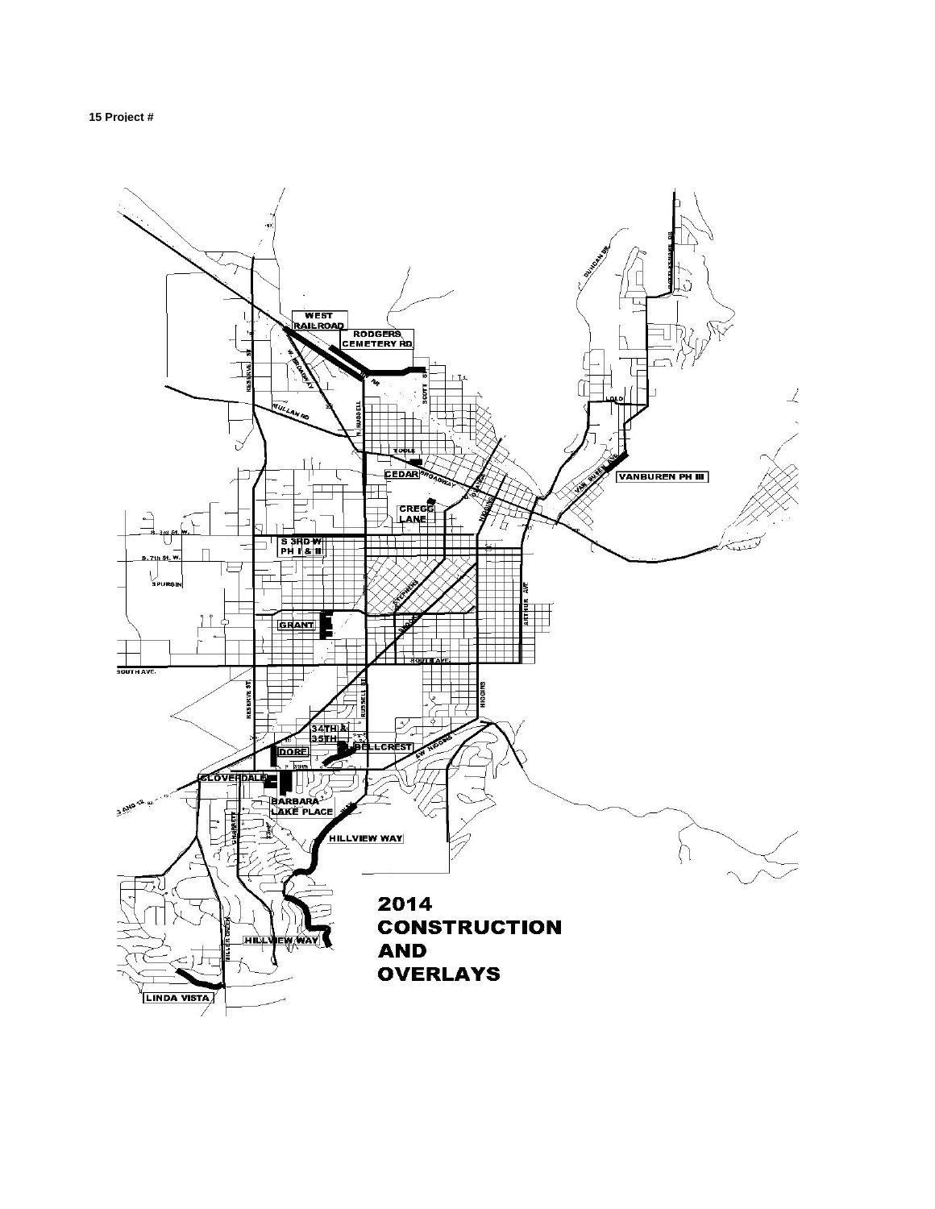

**15 Project #**